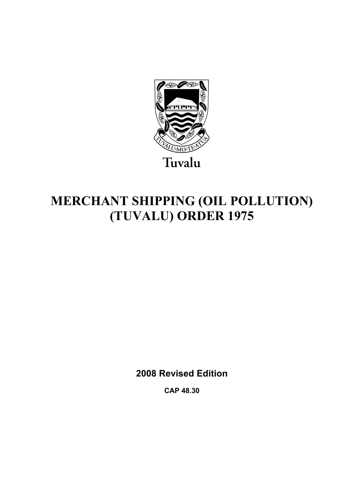

# **MERCHANT SHIPPING (OIL POLLUTION) (TUVALU) ORDER 1975**

**2008 Revised Edition** 

**CAP 48.30**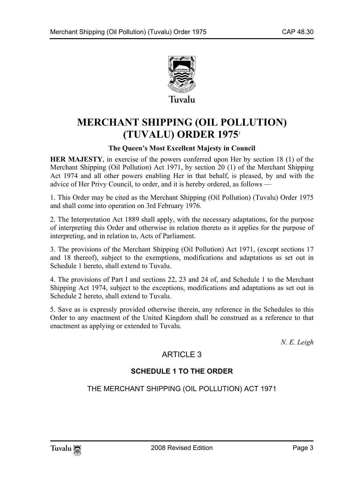

## **MERCHANT SHIPPING (OIL POLLUTION) (TUVALU) ORDER 1975**<sup>1</sup>

## **The Queen's Most Excellent Majesty in Council**

**HER MAJESTY**, in exercise of the powers conferred upon Her by section 18 (1) of the Merchant Shipping (Oil Pollution) Act 1971, by section 20 (1) of the Merchant Shipping Act 1974 and all other powers enabling Her in that behalf, is pleased, by and with the advice of Her Privy Council, to order, and it is hereby ordered, as follows —

1. This Order may be cited as the Merchant Shipping (Oil Pollution) (Tuvalu) Order 1975 and shall come into operation on 3rd February 1976.

2. The Interpretation Act 1889 shall apply, with the necessary adaptations, for the purpose of interpreting this Order and otherwise in relation thereto as it applies for the purpose of interpreting, and in relation to, Acts of Parliament.

3. The provisions of the Merchant Shipping (Oil Pollution) Act 1971, (except sections 17 and 18 thereof), subject to the exemptions, modifications and adaptations as set out in Schedule 1 hereto, shall extend to Tuvalu.

4. The provisions of Part I and sections 22, 23 and 24 of, and Schedule 1 to the Merchant Shipping Act 1974, subject to the exceptions, modifications and adaptations as set out in Schedule 2 hereto, shall extend to Tuvalu.

5. Save as is expressly provided otherwise therein, any reference in the Schedules to this Order to any enactment of the United Kingdom shall be construed as a reference to that enactment as applying or extended to Tuvalu.

*N. E. Leigh* 

## ARTICLE 3

## **SCHEDULE 1 TO THE ORDER**

THE MERCHANT SHIPPING (OIL POLLUTION) ACT 1971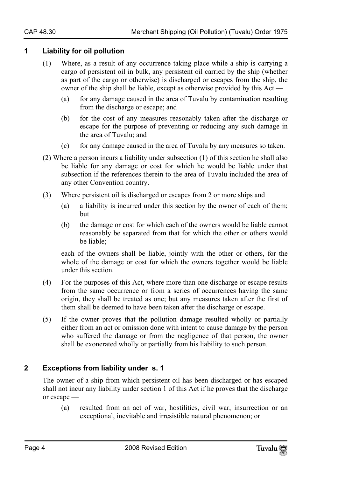#### **1 Liability for oil pollution**

- (1) Where, as a result of any occurrence taking place while a ship is carrying a cargo of persistent oil in bulk, any persistent oil carried by the ship (whether as part of the cargo or otherwise) is discharged or escapes from the ship, the owner of the ship shall be liable, except as otherwise provided by this Act —
	- (a) for any damage caused in the area of Tuvalu by contamination resulting from the discharge or escape; and
	- (b) for the cost of any measures reasonably taken after the discharge or escape for the purpose of preventing or reducing any such damage in the area of Tuvalu; and
	- (c) for any damage caused in the area of Tuvalu by any measures so taken.
- (2) Where a person incurs a liability under subsection (1) of this section he shall also be liable for any damage or cost for which he would be liable under that subsection if the references therein to the area of Tuvalu included the area of any other Convention country.
- (3) Where persistent oil is discharged or escapes from 2 or more ships and
	- (a) a liability is incurred under this section by the owner of each of them; but
	- (b) the damage or cost for which each of the owners would be liable cannot reasonably be separated from that for which the other or others would be liable;

each of the owners shall be liable, jointly with the other or others, for the whole of the damage or cost for which the owners together would be liable under this section.

- (4) For the purposes of this Act, where more than one discharge or escape results from the same occurrence or from a series of occurrences having the same origin, they shall be treated as one; but any measures taken after the first of them shall be deemed to have been taken after the discharge or escape.
- (5) If the owner proves that the pollution damage resulted wholly or partially either from an act or omission done with intent to cause damage by the person who suffered the damage or from the negligence of that person, the owner shall be exonerated wholly or partially from his liability to such person.

## **2 Exceptions from liability under s. 1**

The owner of a ship from which persistent oil has been discharged or has escaped shall not incur any liability under section 1 of this Act if he proves that the discharge or escape —

(a) resulted from an act of war, hostilities, civil war, insurrection or an exceptional, inevitable and irresistible natural phenomenon; or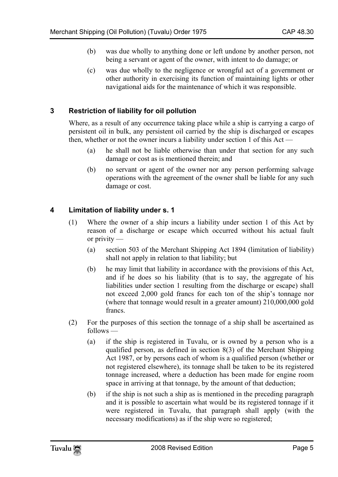- (b) was due wholly to anything done or left undone by another person, not being a servant or agent of the owner, with intent to do damage; or
- (c) was due wholly to the negligence or wrongful act of a government or other authority in exercising its function of maintaining lights or other navigational aids for the maintenance of which it was responsible.

## **3 Restriction of liability for oil pollution**

Where, as a result of any occurrence taking place while a ship is carrying a cargo of persistent oil in bulk, any persistent oil carried by the ship is discharged or escapes then, whether or not the owner incurs a liability under section 1 of this Act —

- (a) he shall not be liable otherwise than under that section for any such damage or cost as is mentioned therein; and
- (b) no servant or agent of the owner nor any person performing salvage operations with the agreement of the owner shall be liable for any such damage or cost.

## **4 Limitation of liability under s. 1**

- (1) Where the owner of a ship incurs a liability under section 1 of this Act by reason of a discharge or escape which occurred without his actual fault or privity —
	- (a) section 503 of the Merchant Shipping Act 1894 (limitation of liability) shall not apply in relation to that liability; but
	- (b) he may limit that liability in accordance with the provisions of this Act, and if he does so his liability (that is to say, the aggregate of his liabilities under section 1 resulting from the discharge or escape) shall not exceed 2,000 gold francs for each ton of the ship's tonnage nor (where that tonnage would result in a greater amount) 210,000,000 gold francs.
- (2) For the purposes of this section the tonnage of a ship shall be ascertained as follows —
	- (a) if the ship is registered in Tuvalu, or is owned by a person who is a qualified person, as defined in section 8(3) of the Merchant Shipping Act 1987, or by persons each of whom is a qualified person (whether or not registered elsewhere), its tonnage shall be taken to be its registered tonnage increased, where a deduction has been made for engine room space in arriving at that tonnage, by the amount of that deduction;
	- (b) if the ship is not such a ship as is mentioned in the preceding paragraph and it is possible to ascertain what would be its registered tonnage if it were registered in Tuvalu, that paragraph shall apply (with the necessary modifications) as if the ship were so registered;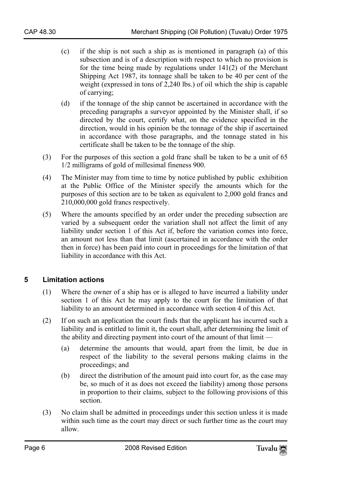- (c) if the ship is not such a ship as is mentioned in paragraph (a) of this subsection and is of a description with respect to which no provision is for the time being made by regulations under 141(2) of the Merchant Shipping Act 1987, its tonnage shall be taken to be 40 per cent of the weight (expressed in tons of 2,240 lbs.) of oil which the ship is capable of carrying;
- (d) if the tonnage of the ship cannot be ascertained in accordance with the preceding paragraphs a surveyor appointed by the Minister shall, if so directed by the court, certify what, on the evidence specified in the direction, would in his opinion be the tonnage of the ship if ascertained in accordance with those paragraphs, and the tonnage stated in his certificate shall be taken to be the tonnage of the ship.
- (3) For the purposes of this section a gold franc shall be taken to be a unit of 65 1/2 milligrams of gold of millesimal fineness 900.
- (4) The Minister may from time to time by notice published by public exhibition at the Public Office of the Minister specify the amounts which for the purposes of this section are to be taken as equivalent to 2,000 gold francs and 210,000,000 gold francs respectively.
- (5) Where the amounts specified by an order under the preceding subsection are varied by a subsequent order the variation shall not affect the limit of any liability under section 1 of this Act if, before the variation comes into force, an amount not less than that limit (ascertained in accordance with the order then in force) has been paid into court in proceedings for the limitation of that liability in accordance with this Act.

## **5 Limitation actions**

- (1) Where the owner of a ship has or is alleged to have incurred a liability under section 1 of this Act he may apply to the court for the limitation of that liability to an amount determined in accordance with section 4 of this Act.
- (2) If on such an application the court finds that the applicant has incurred such a liability and is entitled to limit it, the court shall, after determining the limit of the ability and directing payment into court of the amount of that limit —
	- (a) determine the amounts that would, apart from the limit, be due in respect of the liability to the several persons making claims in the proceedings; and
	- (b) direct the distribution of the amount paid into court for, as the case may be, so much of it as does not exceed the liability) among those persons in proportion to their claims, subject to the following provisions of this section.
- (3) No claim shall be admitted in proceedings under this section unless it is made within such time as the court may direct or such further time as the court may allow.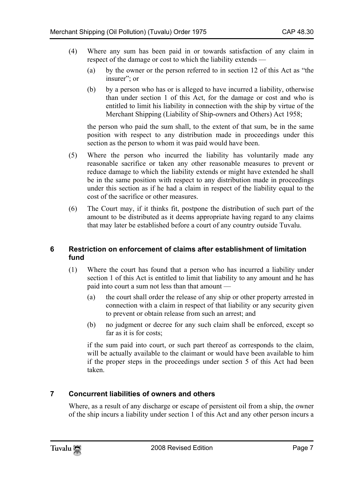- (4) Where any sum has been paid in or towards satisfaction of any claim in respect of the damage or cost to which the liability extends —
	- (a) by the owner or the person referred to in section 12 of this Act as "the insurer"; or
	- (b) by a person who has or is alleged to have incurred a liability, otherwise than under section 1 of this Act, for the damage or cost and who is entitled to limit his liability in connection with the ship by virtue of the Merchant Shipping (Liability of Ship-owners and Others) Act 1958;

the person who paid the sum shall, to the extent of that sum, be in the same position with respect to any distribution made in proceedings under this section as the person to whom it was paid would have been.

- (5) Where the person who incurred the liability has voluntarily made any reasonable sacrifice or taken any other reasonable measures to prevent or reduce damage to which the liability extends or might have extended he shall be in the same position with respect to any distribution made in proceedings under this section as if he had a claim in respect of the liability equal to the cost of the sacrifice or other measures.
- (6) The Court may, if it thinks fit, postpone the distribution of such part of the amount to be distributed as it deems appropriate having regard to any claims that may later be established before a court of any country outside Tuvalu.

## **6 Restriction on enforcement of claims after establishment of limitation fund**

- (1) Where the court has found that a person who has incurred a liability under section 1 of this Act is entitled to limit that liability to any amount and he has paid into court a sum not less than that amount —
	- (a) the court shall order the release of any ship or other property arrested in connection with a claim in respect of that liability or any security given to prevent or obtain release from such an arrest; and
	- (b) no judgment or decree for any such claim shall be enforced, except so far as it is for costs;

if the sum paid into court, or such part thereof as corresponds to the claim, will be actually available to the claimant or would have been available to him if the proper steps in the proceedings under section 5 of this Act had been taken.

## **7 Concurrent liabilities of owners and others**

Where, as a result of any discharge or escape of persistent oil from a ship, the owner of the ship incurs a liability under section 1 of this Act and any other person incurs a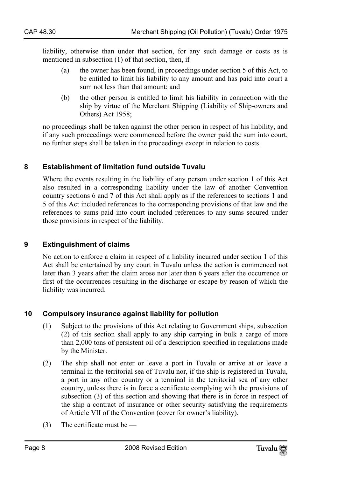liability, otherwise than under that section, for any such damage or costs as is mentioned in subsection  $(1)$  of that section, then, if —

- (a) the owner has been found, in proceedings under section 5 of this Act, to be entitled to limit his liability to any amount and has paid into court a sum not less than that amount; and
- (b) the other person is entitled to limit his liability in connection with the ship by virtue of the Merchant Shipping (Liability of Ship-owners and Others) Act 1958;

no proceedings shall be taken against the other person in respect of his liability, and if any such proceedings were commenced before the owner paid the sum into court, no further steps shall be taken in the proceedings except in relation to costs.

## **8 Establishment of limitation fund outside Tuvalu**

Where the events resulting in the liability of any person under section 1 of this Act also resulted in a corresponding liability under the law of another Convention country sections 6 and 7 of this Act shall apply as if the references to sections 1 and 5 of this Act included references to the corresponding provisions of that law and the references to sums paid into court included references to any sums secured under those provisions in respect of the liability.

## **9 Extinguishment of claims**

No action to enforce a claim in respect of a liability incurred under section 1 of this Act shall be entertained by any court in Tuvalu unless the action is commenced not later than 3 years after the claim arose nor later than 6 years after the occurrence or first of the occurrences resulting in the discharge or escape by reason of which the liability was incurred.

## **10 Compulsory insurance against liability for pollution**

- (1) Subject to the provisions of this Act relating to Government ships, subsection (2) of this section shall apply to any ship carrying in bulk a cargo of more than 2,000 tons of persistent oil of a description specified in regulations made by the Minister.
- (2) The ship shall not enter or leave a port in Tuvalu or arrive at or leave a terminal in the territorial sea of Tuvalu nor, if the ship is registered in Tuvalu, a port in any other country or a terminal in the territorial sea of any other country, unless there is in force a certificate complying with the provisions of subsection (3) of this section and showing that there is in force in respect of the ship a contract of insurance or other security satisfying the requirements of Article VII of the Convention (cover for owner's liability).
- (3) The certificate must be —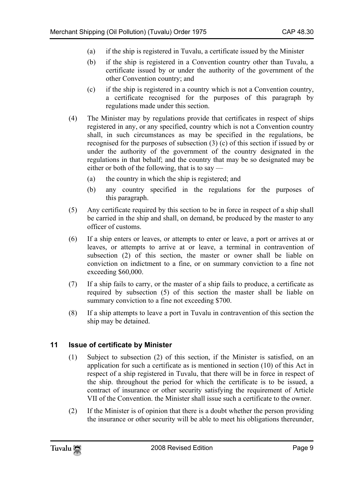- (a) if the ship is registered in Tuvalu, a certificate issued by the Minister
- (b) if the ship is registered in a Convention country other than Tuvalu, a certificate issued by or under the authority of the government of the other Convention country; and
- (c) if the ship is registered in a country which is not a Convention country, a certificate recognised for the purposes of this paragraph by regulations made under this section.
- (4) The Minister may by regulations provide that certificates in respect of ships registered in any, or any specified, country which is not a Convention country shall, in such circumstances as may be specified in the regulations, be recognised for the purposes of subsection (3) (c) of this section if issued by or under the authority of the government of the country designated in the regulations in that behalf; and the country that may be so designated may be either or both of the following, that is to say —
	- (a) the country in which the ship is registered; and
	- (b) any country specified in the regulations for the purposes of this paragraph.
- (5) Any certificate required by this section to be in force in respect of a ship shall be carried in the ship and shall, on demand, be produced by the master to any officer of customs.
- (6) If a ship enters or leaves, or attempts to enter or leave, a port or arrives at or leaves, or attempts to arrive at or leave, a terminal in contravention of subsection (2) of this section, the master or owner shall be liable on conviction on indictment to a fine, or on summary conviction to a fine not exceeding \$60,000.
- (7) If a ship fails to carry, or the master of a ship fails to produce, a certificate as required by subsection (5) of this section the master shall be liable on summary conviction to a fine not exceeding \$700.
- (8) If a ship attempts to leave a port in Tuvalu in contravention of this section the ship may be detained.

## **11 Issue of certificate by Minister**

- (1) Subject to subsection (2) of this section, if the Minister is satisfied, on an application for such a certificate as is mentioned in section (10) of this Act in respect of a ship registered in Tuvalu, that there will be in force in respect of the ship. throughout the period for which the certificate is to be issued, a contract of insurance or other security satisfying the requirement of Article VII of the Convention. the Minister shall issue such a certificate to the owner.
- (2) If the Minister is of opinion that there is a doubt whether the person providing the insurance or other security will be able to meet his obligations thereunder,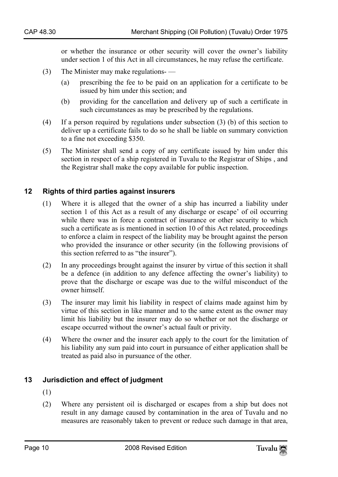or whether the insurance or other security will cover the owner's liability under section 1 of this Act in all circumstances, he may refuse the certificate.

- (3) The Minister may make regulations-
	- (a) prescribing the fee to be paid on an application for a certificate to be issued by him under this section; and
	- (b) providing for the cancellation and delivery up of such a certificate in such circumstances as may be prescribed by the regulations.
- (4) If a person required by regulations under subsection (3) (b) of this section to deliver up a certificate fails to do so he shall be liable on summary conviction to a fine not exceeding \$350.
- (5) The Minister shall send a copy of any certificate issued by him under this section in respect of a ship registered in Tuvalu to the Registrar of Ships , and the Registrar shall make the copy available for public inspection.

#### **12 Rights of third parties against insurers**

- (1) Where it is alleged that the owner of a ship has incurred a liability under section 1 of this Act as a result of any discharge or escape' of oil occurring while there was in force a contract of insurance or other security to which such a certificate as is mentioned in section 10 of this Act related, proceedings to enforce a claim in respect of the liability may be brought against the person who provided the insurance or other security (in the following provisions of this section referred to as "the insurer").
- (2) In any proceedings brought against the insurer by virtue of this section it shall be a defence (in addition to any defence affecting the owner's liability) to prove that the discharge or escape was due to the wilful misconduct of the owner himself.
- (3) The insurer may limit his liability in respect of claims made against him by virtue of this section in like manner and to the same extent as the owner may limit his liability but the insurer may do so whether or not the discharge or escape occurred without the owner's actual fault or privity.
- (4) Where the owner and the insurer each apply to the court for the limitation of his liability any sum paid into court in pursuance of either application shall be treated as paid also in pursuance of the other.

#### **13 Jurisdiction and effect of judgment**

- (1)
- (2) Where any persistent oil is discharged or escapes from a ship but does not result in any damage caused by contamination in the area of Tuvalu and no measures are reasonably taken to prevent or reduce such damage in that area,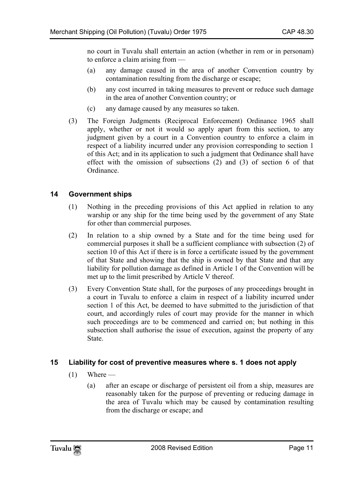no court in Tuvalu shall entertain an action (whether in rem or in personam) to enforce a claim arising from —

- (a) any damage caused in the area of another Convention country by contamination resulting from the discharge or escape;
- (b) any cost incurred in taking measures to prevent or reduce such damage in the area of another Convention country; or
- (c) any damage caused by any measures so taken.
- (3) The Foreign Judgments (Reciprocal Enforcement) Ordinance 1965 shall apply, whether or not it would so apply apart from this section, to any judgment given by a court in a Convention country to enforce a claim in respect of a liability incurred under any provision corresponding to section 1 of this Act; and in its application to such a judgment that Ordinance shall have effect with the omission of subsections (2) and (3) of section 6 of that Ordinance.

## **14 Government ships**

- (1) Nothing in the preceding provisions of this Act applied in relation to any warship or any ship for the time being used by the government of any State for other than commercial purposes.
- (2) In relation to a ship owned by a State and for the time being used for commercial purposes it shall be a sufficient compliance with subsection (2) of section 10 of this Act if there is in force a certificate issued by the government of that State and showing that the ship is owned by that State and that any liability for pollution damage as defined in Article 1 of the Convention will be met up to the limit prescribed by Article V thereof.
- (3) Every Convention State shall, for the purposes of any proceedings brought in a court in Tuvalu to enforce a claim in respect of a liability incurred under section 1 of this Act, be deemed to have submitted to the jurisdiction of that court, and accordingly rules of court may provide for the manner in which such proceedings are to be commenced and carried on; but nothing in this subsection shall authorise the issue of execution, against the property of any State.

## **15 Liability for cost of preventive measures where s. 1 does not apply**

- $(1)$  Where
	- (a) after an escape or discharge of persistent oil from a ship, measures are reasonably taken for the purpose of preventing or reducing damage in the area of Tuvalu which may be caused by contamination resulting from the discharge or escape; and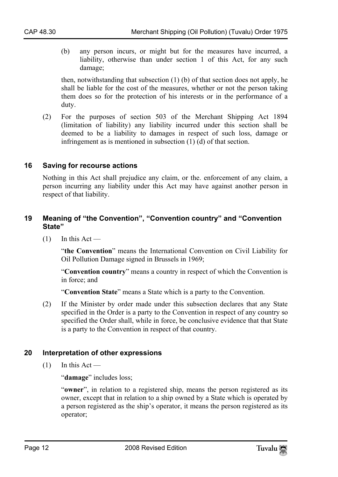(b) any person incurs, or might but for the measures have incurred, a liability, otherwise than under section 1 of this Act, for any such damage;

then, notwithstanding that subsection (1) (b) of that section does not apply, he shall be liable for the cost of the measures, whether or not the person taking them does so for the protection of his interests or in the performance of a duty.

(2) For the purposes of section 503 of the Merchant Shipping Act 1894 (limitation of liability) any liability incurred under this section shall be deemed to be a liability to damages in respect of such loss, damage or infringement as is mentioned in subsection (1) (d) of that section.

#### **16 Saving for recourse actions**

Nothing in this Act shall prejudice any claim, or the. enforcement of any claim, a person incurring any liability under this Act may have against another person in respect of that liability.

#### **19 Meaning of "the Convention", "Convention country" and "Convention State"**

 $(1)$  In this Act —

"**the Convention**" means the International Convention on Civil Liability for Oil Pollution Damage signed in Brussels in 1969;

"**Convention country**" means a country in respect of which the Convention is in force; and

"**Convention State**" means a State which is a party to the Convention.

(2) If the Minister by order made under this subsection declares that any State specified in the Order is a party to the Convention in respect of any country so specified the Order shall, while in force, be conclusive evidence that that State is a party to the Convention in respect of that country.

## **20 Interpretation of other expressions**

 $(1)$  In this Act —

"**damage**" includes loss;

"**owner**", in relation to a registered ship, means the person registered as its owner, except that in relation to a ship owned by a State which is operated by a person registered as the ship's operator, it means the person registered as its operator;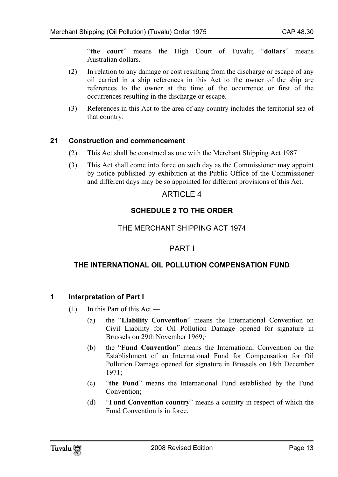"**the court**" means the High Court of Tuvalu; "**dollars**" means Australian dollars.

- (2) In relation to any damage or cost resulting from the discharge or escape of any oil carried in a ship references in this Act to the owner of the ship are references to the owner at the time of the occurrence or first of the occurrences resulting in the discharge or escape.
- (3) References in this Act to the area of any country includes the territorial sea of that country.

## **21 Construction and commencement**

- (2) This Act shall be construed as one with the Merchant Shipping Act 1987
- (3) This Act shall come into force on such day as the Commissioner may appoint by notice published by exhibition at the Public Office of the Commissioner and different days may be so appointed for different provisions of this Act.

## **ARTICLE 4**

## **SCHEDULE 2 TO THE ORDER**

#### THE MERCHANT SHIPPING ACT 1974

## PART I

#### **THE INTERNATIONAL OIL POLLUTION COMPENSATION FUND**

#### **1 Interpretation of Part I**

- (1) In this Part of this Act
	- (a) the "**Liability Convention**" means the International Convention on Civil Liability for Oil Pollution Damage opened for signature in Brussels on 29th November 1969;·
	- (b) the "**Fund Convention**" means the International Convention on the Establishment of an International Fund for Compensation for Oil Pollution Damage opened for signature in Brussels on 18th December 1971;
	- (c) "**the Fund**" means the International Fund established by the Fund Convention;
	- (d) "**Fund Convention country**" means a country in respect of which the Fund Convention is in force.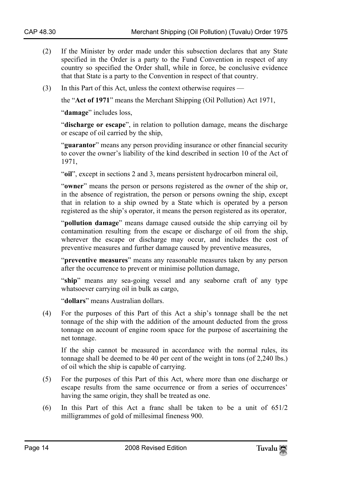- (2) If the Minister by order made under this subsection declares that any State specified in the Order is a party to the Fund Convention in respect of any country so specified the Order shall, while in force, be conclusive evidence that that State is a party to the Convention in respect of that country.
- (3) In this Part of this Act, unless the context otherwise requires —

the "**Act of 1971**" means the Merchant Shipping (Oil Pollution) Act 1971,

"**damage**" includes loss,

"**discharge or escape**", in relation to pollution damage, means the discharge or escape of oil carried by the ship,

"**guarantor**" means any person providing insurance or other financial security to cover the owner's liability of the kind described in section 10 of the Act of 1971,

"**oil**", except in sections 2 and 3, means persistent hydrocarbon mineral oil,

"**owner**" means the person or persons registered as the owner of the ship or, in the absence of registration, the person or persons owning the ship, except that in relation to a ship owned by a State which is operated by a person registered as the ship's operator, it means the person registered as its operator,

"**pollution damage**" means damage caused outside the ship carrying oil by contamination resulting from the escape or discharge of oil from the ship, wherever the escape or discharge may occur, and includes the cost of preventive measures and further damage caused by preventive measures,

"**preventive measures**" means any reasonable measures taken by any person after the occurrence to prevent or minimise pollution damage,

"**ship**" means any sea-going vessel and any seaborne craft of any type whatsoever carrying oil in bulk as cargo,

"**dollars**" means Australian dollars.

(4) For the purposes of this Part of this Act a ship's tonnage shall be the net tonnage of the ship with the addition of the amount deducted from the gross tonnage on account of engine room space for the purpose of ascertaining the net tonnage.

If the ship cannot be measured in accordance with the normal rules, its tonnage shall be deemed to be 40 per cent of the weight in tons (of 2,240 lbs.) of oil which the ship is capable of carrying.

- (5) For the purposes of this Part of this Act, where more than one discharge or escape results from the same occurrence or from a series of occurrences' having the same origin, they shall be treated as one.
- (6) In this Part of this Act a franc shall be taken to be a unit of 651/2 milligrammes of gold of millesimal fineness 900.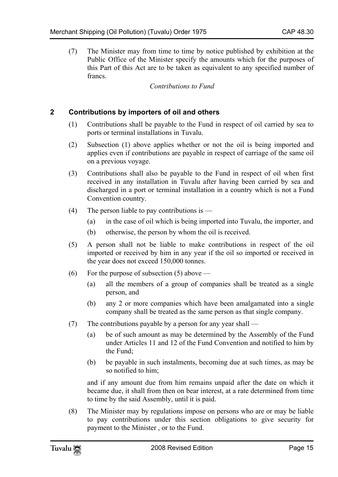(7) The Minister may from time to time by notice published by exhibition at the Public Office of the Minister specify the amounts which for the purposes of this Part of this Act are to be taken as equivalent to any specified number of francs.

*Contributions to Fund* 

#### **2 Contributions by importers of oil and others**

- (1) Contributions shall be payable to the Fund in respect of oil carried by sea to ports or terminal installations in Tuvalu.
- (2) Subsection (1) above applies whether or not the oil is being imported and applies even if contributions are payable in respect of carriage of the same oil on a previous voyage.
- (3) Contributions shall also be payable to the Fund in respect of oil when first received in any installation in Tuvalu after having been carried by sea and discharged in a port or terminal installation in a country which is not a Fund Convention country.
- (4) The person liable to pay contributions is  $-$ 
	- (a) in the case of oil which is being imported into Tuvalu, the importer, and
	- (b) otherwise, the person by whom the oil is received.
- (5) A person shall not be liable to make contributions in respect of the oil imported or received by him in any year if the oil so imported or received in the year does not exceed 150,000 tonnes.
- (6) For the purpose of subsection  $(5)$  above
	- (a) all the members of a group of companies shall be treated as a single person, and
	- (b) any 2 or more companies which have been amalgamated into a single company shall be treated as the same person as that single company.
- (7) The contributions payable by a person for any year shall
	- (a) be of such amount as may be determined by the Assembly of the Fund under Articles 11 and 12 of the Fund Convention and notified to him by the Fund;
	- (b) be payable in such instalments, becoming due at such times, as may be so notified to him;

and if any amount due from him remains unpaid after the date on which it became due, it shall from then on bear interest, at a rate determined from time to time by the said Assembly, until it is paid.

(8) The Minister may by regulations impose on persons who are or may be liable to pay contributions under this section obligations to give security for payment to the Minister , or to the Fund.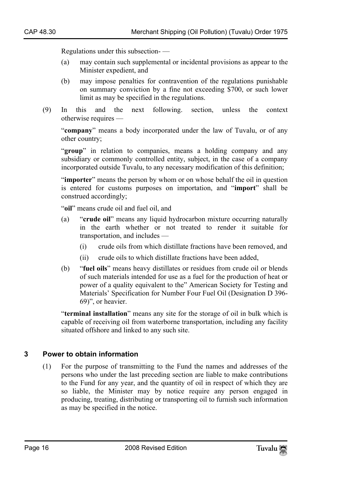Regulations under this subsection- —

- (a) may contain such supplemental or incidental provisions as appear to the Minister expedient, and
- (b) may impose penalties for contravention of the regulations punishable on summary conviction by a fine not exceeding \$700, or such lower limit as may be specified in the regulations.
- (9) In this and the next following. section, unless the context otherwise requires —

"**company**" means a body incorporated under the law of Tuvalu, or of any other country;

"**group**" in relation to companies, means a holding company and any subsidiary or commonly controlled entity, subject, in the case of a company incorporated outside Tuvalu, to any necessary modification of this definition;

"**importer**" means the person by whom or on whose behalf the oil in question is entered for customs purposes on importation, and "**import**" shall be construed accordingly;

"**oil**" means crude oil and fuel oil, and

- (a) "**crude oil**" means any liquid hydrocarbon mixture occurring naturally in the earth whether or not treated to render it suitable for transportation, and includes —
	- (i) crude oils from which distillate fractions have been removed, and
	- (ii) crude oils to which distillate fractions have been added,
- (b) "**fuel oils**" means heavy distillates or residues from crude oil or blends of such materials intended for use as a fuel for the production of heat or power of a quality equivalent to the" American Society for Testing and Materials' Specification for Number Four Fuel Oil (Designation D 396- 69)", or heavier.

"**terminal installation**" means any site for the storage of oil in bulk which is capable of receiving oil from waterborne transportation, including any facility situated offshore and linked to any such site.

#### **3 Power to obtain information**

(1) For the purpose of transmitting to the Fund the names and addresses of the persons who under the last preceding section are liable to make contributions to the Fund for any year, and the quantity of oil in respect of which they are so liable, the Minister may by notice require any person engaged in producing, treating, distributing or transporting oil to furnish such information as may be specified in the notice.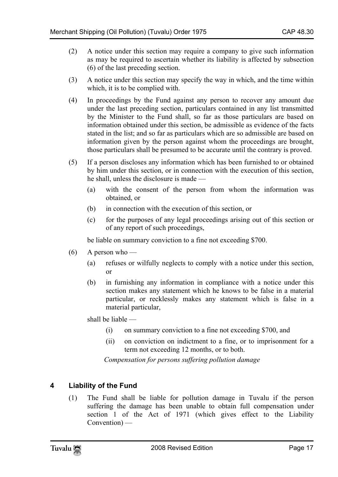- (2) A notice under this section may require a company to give such information as may be required to ascertain whether its liability is affected by subsection (6) of the last preceding section.
- (3) A notice under this section may specify the way in which, and the time within which, it is to be complied with.
- (4) In proceedings by the Fund against any person to recover any amount due under the last preceding section, particulars contained in any list transmitted by the Minister to the Fund shall, so far as those particulars are based on information obtained under this section, be admissible as evidence of the facts stated in the list; and so far as particulars which are so admissible are based on information given by the person against whom the proceedings are brought, those particulars shall be presumed to be accurate until the contrary is proved.
- (5) If a person discloses any information which has been furnished to or obtained by him under this section, or in connection with the execution of this section, he shall, unless the disclosure is made —
	- (a) with the consent of the person from whom the information was obtained, or
	- (b) in connection with the execution of this section, or
	- (c) for the purposes of any legal proceedings arising out of this section or of any report of such proceedings,

be liable on summary conviction to a fine not exceeding \$700.

- $(6)$  A person who
	- (a) refuses or wilfully neglects to comply with a notice under this section, or
	- (b) in furnishing any information in compliance with a notice under this section makes any statement which he knows to be false in a material particular, or recklessly makes any statement which is false in a material particular,

shall be liable —

- (i) on summary conviction to a fine not exceeding \$700, and
- (ii) on conviction on indictment to a fine, or to imprisonment for a term not exceeding 12 months, or to both.

*Compensation for persons suffering pollution damage* 

## **4 Liability of the Fund**

(1) The Fund shall be liable for pollution damage in Tuvalu if the person suffering the damage has been unable to obtain full compensation under section 1 of the Act of 1971 (which gives effect to the Liability Convention) —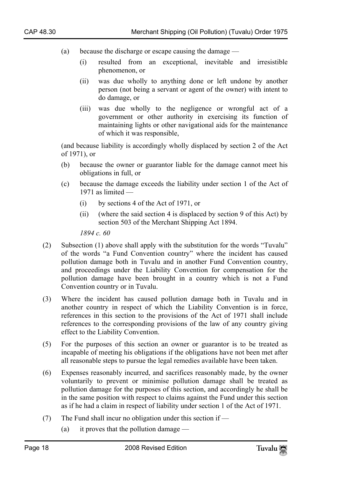- (a) because the discharge or escape causing the damage
	- (i) resulted from an exceptional, inevitable and irresistible phenomenon, or
	- (ii) was due wholly to anything done or left undone by another person (not being a servant or agent of the owner) with intent to do damage, or
	- (iii) was due wholly to the negligence or wrongful act of a government or other authority in exercising its function of maintaining lights or other navigational aids for the maintenance of which it was responsible,

(and because liability is accordingly wholly displaced by section 2 of the Act of 1971), or

- (b) because the owner or guarantor liable for the damage cannot meet his obligations in full, or
- (c) because the damage exceeds the liability under section 1 of the Act of 1971 as limited —
	- (i) by sections 4 of the Act of 1971, or
	- (ii) (where the said section 4 is displaced by section 9 of this Act) by section 503 of the Merchant Shipping Act 1894.

*1894 c. 60* 

- (2) Subsection (1) above shall apply with the substitution for the words "Tuvalu" of the words "a Fund Convention country" where the incident has caused pollution damage both in Tuvalu and in another Fund Convention country, and proceedings under the Liability Convention for compensation for the pollution damage have been brought in a country which is not a Fund Convention country or in Tuvalu.
- (3) Where the incident has caused pollution damage both in Tuvalu and in another country in respect of which the Liability Convention is in force, references in this section to the provisions of the Act of 1971 shall include references to the corresponding provisions of the law of any country giving effect to the Liability Convention.
- (5) For the purposes of this section an owner or guarantor is to be treated as incapable of meeting his obligations if the obligations have not been met after all reasonable steps to pursue the legal remedies available have been taken.
- (6) Expenses reasonably incurred, and sacrifices reasonably made, by the owner voluntarily to prevent or minimise pollution damage shall be treated as pollution damage for the purposes of this section, and accordingly he shall be in the same position with respect to claims against the Fund under this section as if he had a claim in respect of liability under section 1 of the Act of 1971.
- (7) The Fund shall incur no obligation under this section if
	- (a) it proves that the pollution damage —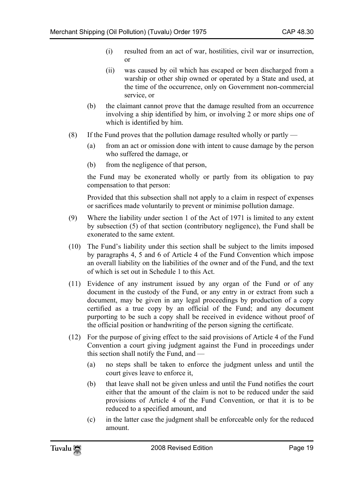- (i) resulted from an act of war, hostilities, civil war or insurrection, or
- (ii) was caused by oil which has escaped or been discharged from a warship or other ship owned or operated by a State and used, at the time of the occurrence, only on Government non-commercial service, or
- (b) the claimant cannot prove that the damage resulted from an occurrence involving a ship identified by him, or involving 2 or more ships one of which is identified by him.
- (8) If the Fund proves that the pollution damage resulted wholly or partly
	- (a) from an act or omission done with intent to cause damage by the person who suffered the damage, or
	- (b) from the negligence of that person,

the Fund may be exonerated wholly or partly from its obligation to pay compensation to that person:

Provided that this subsection shall not apply to a claim in respect of expenses or sacrifices made voluntarily to prevent or minimise pollution damage.

- (9) Where the liability under section 1 of the Act of 1971 is limited to any extent by subsection (5) of that section (contributory negligence), the Fund shall be exonerated to the same extent.
- (10) The Fund's liability under this section shall be subject to the limits imposed by paragraphs 4, 5 and 6 of Article 4 of the Fund Convention which impose an overall liability on the liabilities of the owner and of the Fund, and the text of which is set out in Schedule 1 to this Act.
- (11) Evidence of any instrument issued by any organ of the Fund or of any document in the custody of the Fund, or any entry in or extract from such a document, may be given in any legal proceedings by production of a copy certified as a true copy by an official of the Fund; and any document purporting to be such a copy shall be received in evidence without proof of the official position or handwriting of the person signing the certificate.
- (12) For the purpose of giving effect to the said provisions of Article 4 of the Fund Convention a court giving judgment against the Fund in proceedings under this section shall notify the Fund, and —
	- (a) no steps shall be taken to enforce the judgment unless and until the court gives leave to enforce it,
	- (b) that leave shall not be given unless and until the Fund notifies the court either that the amount of the claim is not to be reduced under the said provisions of Article 4 of the Fund Convention, or that it is to be reduced to a specified amount, and
	- (c) in the latter case the judgment shall be enforceable only for the reduced amount.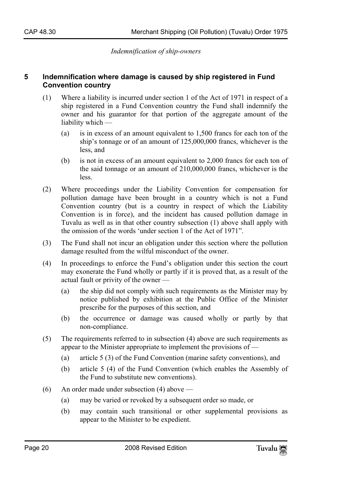*Indemnification of ship-owners* 

#### **5 Indemnification where damage is caused by ship registered in Fund Convention country**

- (1) Where a liability is incurred under section 1 of the Act of 1971 in respect of a ship registered in a Fund Convention country the Fund shall indemnify the owner and his guarantor for that portion of the aggregate amount of the liability which —
	- (a) is in excess of an amount equivalent to 1,500 francs for each ton of the ship's tonnage or of an amount of 125,000,000 francs, whichever is the less, and
	- (b) is not in excess of an amount equivalent to 2,000 francs for each ton of the said tonnage or an amount of 210,000,000 francs, whichever is the less.
- (2) Where proceedings under the Liability Convention for compensation for pollution damage have been brought in a country which is not a Fund Convention country (but is a country in respect of which the Liability Convention is in force), and the incident has caused pollution damage in Tuvalu as well as in that other country subsection (1) above shall apply with the omission of the words 'under section 1 of the Act of 1971".
- (3) The Fund shall not incur an obligation under this section where the pollution damage resulted from the wilful misconduct of the owner.
- (4) In proceedings to enforce the Fund's obligation under this section the court may exonerate the Fund wholly or partly if it is proved that, as a result of the actual fault or privity of the owner —
	- (a) the ship did not comply with such requirements as the Minister may by notice published by exhibition at the Public Office of the Minister prescribe for the purposes of this section, and
	- (b) the occurrence or damage was caused wholly or partly by that non-compliance.
- (5) The requirements referred to in subsection (4) above are such requirements as appear to the Minister appropriate to implement the provisions of —
	- (a) article 5 (3) of the Fund Convention (marine safety conventions), and
	- (b) article 5 (4) of the Fund Convention (which enables the Assembly of the Fund to substitute new conventions).
- (6) An order made under subsection (4) above
	- (a) may be varied or revoked by a subsequent order so made, or
	- (b) may contain such transitional or other supplemental provisions as appear to the Minister to be expedient.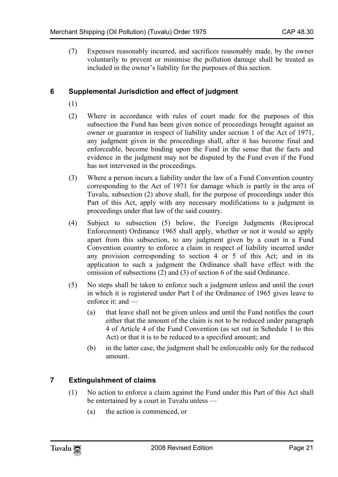(7) Expenses reasonably incurred, and sacrifices reasonably made, by the owner voluntarily to prevent or minimise the pollution damage shall be treated as included in the owner's liability for the purposes of this section.

## **6 Supplemental Jurisdiction and effect of judgment**

- (1)
- (2) Where in accordance with rules of court made for the purposes of this subsection the Fund has been given notice of proceedings brought against an owner or guarantor in respect of liability under section 1 of the Act of 1971, any judgment given in the proceedings shall, after it has become final and enforceable, become binding upon the Fund in the sense that the facts and evidence in the judgment may not be disputed by the Fund even if the Fund has not intervened in the proceedings.
- (3) Where a person incurs a liability under the law of a Fund Convention country corresponding to the Act of 1971 for damage which is partly in the area of Tuvalu, subsection (2) above shall, for the purpose of proceedings under this Part of this Act, apply with any necessary modifications to a judgment in proceedings under that law of the said country.
- (4) Subject to subsection (5) below, the Foreign Judgments (Reciprocal Enforcement) Ordinance 1965 shall apply, whether or not it would so apply apart from this subsection, to any judgment given by a court in a Fund Convention country to enforce a claim in respect of liability incurred under any provision corresponding to section 4 or 5 of this Act; and in its application to such a judgment the Ordinance shall have effect with the omission of subsections (2) and (3) of section 6 of the said Ordinance.
- (5) No steps shall be taken to enforce such a judgment unless and until the court in which it is registered under Part I of the Ordinance of 1965 gives leave to enforce it: and —
	- (a) that leave shall not be given unless and until the Fund notifies the court either that the amount of the claim is not to be reduced under paragraph 4 of Article 4 of the Fund Convention (as set out in Schedule 1 to this Act) or that it is to be reduced to a specified amount; and
	- (b) in the latter case, the judgment shall be enforceable only for the reduced amount.

## **7 Extinguishment of claims**

- (1) No action to enforce a claim against the Fund under this Part of this Act shall be entertained by a court in Tuvalu unless —
	- (a) the action is commenced, or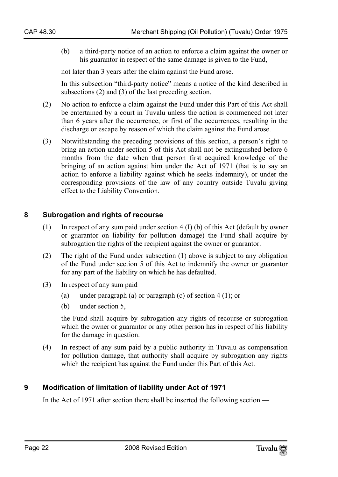(b) a third-party notice of an action to enforce a claim against the owner or his guarantor in respect of the same damage is given to the Fund,

not later than 3 years after the claim against the Fund arose.

In this subsection "third-party notice" means a notice of the kind described in subsections (2) and (3) of the last preceding section.

- (2) No action to enforce a claim against the Fund under this Part of this Act shall be entertained by a court in Tuvalu unless the action is commenced not later than 6 years after the occurrence, or first of the occurrences, resulting in the discharge or escape by reason of which the claim against the Fund arose.
- (3) Notwithstanding the preceding provisions of this section, a person's right to bring an action under section 5 of this Act shall not be extinguished before 6 months from the date when that person first acquired knowledge of the bringing of an action against him under the Act of 1971 (that is to say an action to enforce a liability against which he seeks indemnity), or under the corresponding provisions of the law of any country outside Tuvalu giving effect to the Liability Convention.

## **8 Subrogation and rights of recourse**

- (1) In respect of any sum paid under section 4 (I) (b) of this Act (default by owner or guarantor on liability for pollution damage) the Fund shall acquire by subrogation the rights of the recipient against the owner or guarantor.
- (2) The right of the Fund under subsection (1) above is subject to any obligation of the Fund under section 5 of this Act to indemnify the owner or guarantor for any part of the liability on which he has defaulted.
- (3) In respect of any sum paid
	- (a) under paragraph (a) or paragraph (c) of section 4 (1); or
	- (b) under section 5,

the Fund shall acquire by subrogation any rights of recourse or subrogation which the owner or guarantor or any other person has in respect of his liability for the damage in question.

(4) In respect of any sum paid by a public authority in Tuvalu as compensation for pollution damage, that authority shall acquire by subrogation any rights which the recipient has against the Fund under this Part of this Act.

## **9 Modification of limitation of liability under Act of 1971**

In the Act of 1971 after section there shall be inserted the following section —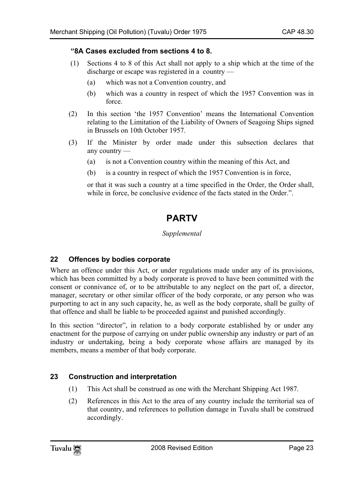#### **"8A Cases excluded from sections 4 to 8.**

- (1) Sections 4 to 8 of this Act shall not apply to a ship which at the time of the discharge or escape was registered in a country —
	- (a) which was not a Convention country, and
	- (b) which was a country in respect of which the 1957 Convention was in force.
- (2) In this section 'the 1957 Convention' means the International Convention relating to the Limitation of the Liability of Owners of Seagoing Ships signed in Brussels on 10th October 1957.
- (3) If the Minister by order made under this subsection declares that any country —
	- (a) is not a Convention country within the meaning of this Act, and
	- (b) is a country in respect of which the 1957 Convention is in force,

or that it was such a country at a time specified in the Order, the Order shall, while in force, be conclusive evidence of the facts stated in the Order.".

## **PARTV**

## *Supplemental*

## **22 Offences by bodies corporate**

Where an offence under this Act, or under regulations made under any of its provisions, which has been committed by a body corporate is proved to have been committed with the consent or connivance of, or to be attributable to any neglect on the part of, a director, manager, secretary or other similar officer of the body corporate, or any person who was purporting to act in any such capacity, he, as well as the body corporate, shall be guilty of that offence and shall be liable to be proceeded against and punished accordingly.

In this section "director", in relation to a body corporate established by or under any enactment for the purpose of carrying on under public ownership any industry or part of an industry or undertaking, being a body corporate whose affairs are managed by its members, means a member of that body corporate.

## **23 Construction and interpretation**

- (1) This Act shall be construed as one with the Merchant Shipping Act 1987.
- (2) References in this Act to the area of any country include the territorial sea of that country, and references to pollution damage in Tuvalu shall be construed accordingly.

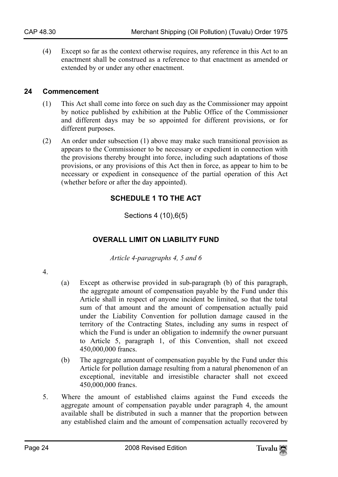(4) Except so far as the context otherwise requires, any reference in this Act to an enactment shall be construed as a reference to that enactment as amended or extended by or under any other enactment.

#### **24 Commencement**

- (1) This Act shall come into force on such day as the Commissioner may appoint by notice published by exhibition at the Public Office of the Commissioner and different days may be so appointed for different provisions, or for different purposes.
- (2) An order under subsection (1) above may make such transitional provision as appears to the Commissioner to be necessary or expedient in connection with the provisions thereby brought into force, including such adaptations of those provisions, or any provisions of this Act then in force, as appear to him to be necessary or expedient in consequence of the partial operation of this Act (whether before or after the day appointed).

## **SCHEDULE 1 TO THE ACT**

Sections 4 (10),6(5)

## **OVERALL LIMIT ON LIABILITY FUND**

*Article 4-paragraphs 4, 5 and 6* 

4.

- (a) Except as otherwise provided in sub-paragraph (b) of this paragraph, the aggregate amount of compensation payable by the Fund under this Article shall in respect of anyone incident be limited, so that the total sum of that amount and the amount of compensation actually paid under the Liability Convention for pollution damage caused in the territory of the Contracting States, including any sums in respect of which the Fund is under an obligation to indemnify the owner pursuant to Article 5, paragraph 1, of this Convention, shall not exceed 450,000,000 francs.
- (b) The aggregate amount of compensation payable by the Fund under this Article for pollution damage resulting from a natural phenomenon of an exceptional, inevitable and irresistible character shall not exceed 450,000,000 francs.
- 5. Where the amount of established claims against the Fund exceeds the aggregate amount of compensation payable under paragraph 4, the amount available shall be distributed in such a manner that the proportion between any established claim and the amount of compensation actually recovered by